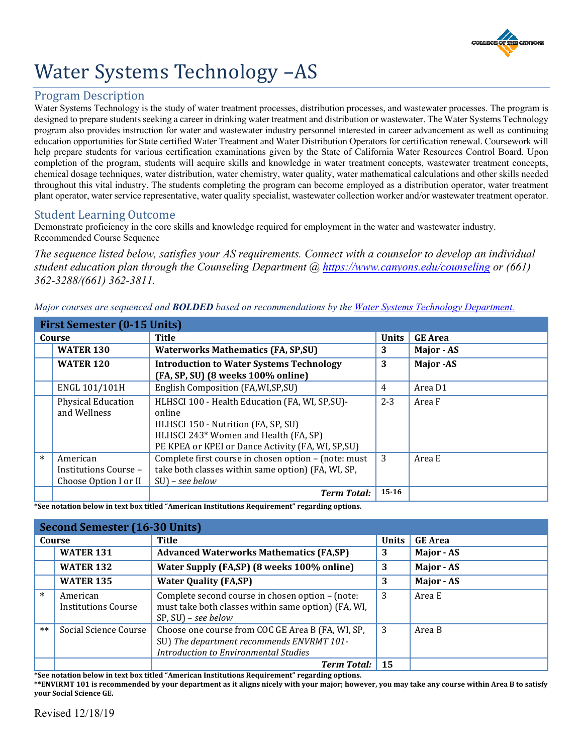

# Water Systems Technology –AS

## Program Description

 Water Systems Technology is the study of water treatment processes, distribution processes, and wastewater processes. The program is designed to prepare students seeking a career in drinking water treatment and distribution or wastewater. The Water Systems Technology program also provides instruction for water and wastewater industry personnel interested in career advancement as well as continuing education opportunities for State certified Water Treatment and Water Distribution Operators for certification renewal. Coursework will help prepare students for various certification examinations given by the State of California Water Resources Control Board. Upon completion of the program, students will acquire skills and knowledge in water treatment concepts, wastewater treatment concepts, chemical dosage techniques, water distribution, water chemistry, water quality, water mathematical calculations and other skills needed throughout this vital industry. The students completing the program can become employed as a distribution operator, water treatment plant operator, water service representative, water quality specialist, wastewater collection worker and/or wastewater treatment operator.

### Student Learning Outcome

Demonstrate proficiency in the core skills and knowledge required for employment in the water and wastewater industry. Recommended Course Sequence

*The sequence listed below, satisfies your AS requirements. Connect with a counselor to develop an individual student education plan through the Counseling Department @ <https://www.canyons.edu/counseling>or (661) 362-3288/(661) 362-3811.* 

*Major courses are sequenced and BOLDED based on recommendations by the [Water Systems Technology Department.](https://www.canyons.edu/academics/water/index.php)* 

| <b>First Semester (0-15 Units)</b> |                                                            |                                                                                                                                                                                                 |              |                   |
|------------------------------------|------------------------------------------------------------|-------------------------------------------------------------------------------------------------------------------------------------------------------------------------------------------------|--------------|-------------------|
| Course                             |                                                            | Title                                                                                                                                                                                           | <b>Units</b> | <b>GE</b> Area    |
|                                    | <b>WATER 130</b>                                           | <b>Waterworks Mathematics (FA, SP, SU)</b>                                                                                                                                                      | 3            | Major - AS        |
|                                    | <b>WATER 120</b>                                           | <b>Introduction to Water Systems Technology</b><br>(FA, SP, SU) (8 weeks 100% online)                                                                                                           | 3            | <b>Major</b> - AS |
|                                    | ENGL 101/101H                                              | English Composition (FA, WI, SP, SU)                                                                                                                                                            | 4            | Area D1           |
|                                    | <b>Physical Education</b><br>and Wellness                  | HLHSCI 100 - Health Education (FA, WI, SP, SU)-<br>online<br>HLHSCI 150 - Nutrition (FA, SP, SU)<br>HLHSCI 243* Women and Health (FA, SP)<br>PE KPEA or KPEI or Dance Activity (FA, WI, SP, SU) | $2 - 3$      | Area F            |
| $\ast$                             | American<br>Institutions Course -<br>Choose Option I or II | Complete first course in chosen option - (note: must<br>take both classes within same option) (FA, WI, SP,<br>$SU$ ) – see below                                                                | 3            | Area E            |
|                                    |                                                            | <b>Term Total:</b>                                                                                                                                                                              | $15 - 16$    |                   |

**\*See notation below in text box titled "American Institutions Requirement" regarding options.** 

| <b>Second Semester (16-30 Units)</b> |                                        |                                                                                                                                                |              |                |
|--------------------------------------|----------------------------------------|------------------------------------------------------------------------------------------------------------------------------------------------|--------------|----------------|
| Course                               |                                        | <b>Title</b>                                                                                                                                   | <b>Units</b> | <b>GE Area</b> |
|                                      | <b>WATER 131</b>                       | <b>Advanced Waterworks Mathematics (FA,SP)</b>                                                                                                 | 3            | Major - AS     |
|                                      | <b>WATER 132</b>                       | Water Supply (FA,SP) (8 weeks 100% online)                                                                                                     | 3            | Major - AS     |
|                                      | <b>WATER 135</b>                       | <b>Water Quality (FA,SP)</b>                                                                                                                   | 3            | Major - AS     |
| $\ast$                               | American<br><b>Institutions Course</b> | Complete second course in chosen option - (note:<br>must take both classes within same option) (FA, WI,<br>$SP, SU$ – see below                | 3            | Area E         |
| $**$                                 | Social Science Course                  | Choose one course from COC GE Area B (FA, WI, SP,<br>SU) The department recommends ENVRMT 101-<br><b>Introduction to Environmental Studies</b> | 3            | Area B         |
|                                      |                                        | <b>Term Total:</b>                                                                                                                             | 15           |                |

**\*See notation below in text box titled "American Institutions Requirement" regarding options.** 

**\*\*ENVIRMT 101 is recommended by your department as it aligns nicely with your major; however, you may take any course within Area B to satisfy your Social Science GE.**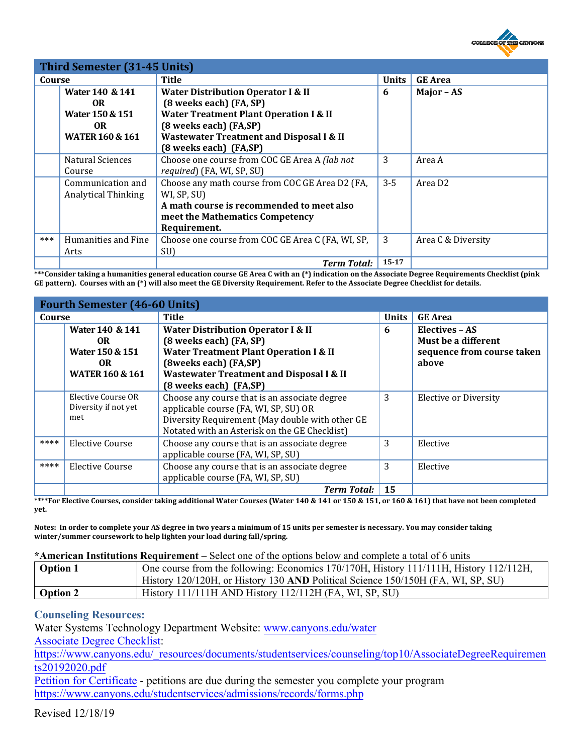

| Third Semester (31-45 Units) |                                                                                            |                                                                                                                                                                                                                                          |              |                     |
|------------------------------|--------------------------------------------------------------------------------------------|------------------------------------------------------------------------------------------------------------------------------------------------------------------------------------------------------------------------------------------|--------------|---------------------|
| Course                       |                                                                                            | Title                                                                                                                                                                                                                                    | <b>Units</b> | <b>GE</b> Area      |
|                              | Water 140 & 141<br><b>OR</b><br>Water 150 & 151<br><b>OR</b><br><b>WATER 160 &amp; 161</b> | <b>Water Distribution Operator I &amp; II</b><br>(8 weeks each) (FA, SP)<br><b>Water Treatment Plant Operation I &amp; II</b><br>(8 weeks each) (FA,SP)<br><b>Wastewater Treatment and Disposal I &amp; II</b><br>(8 weeks each) (FA,SP) | 6            | Major - AS          |
|                              | Natural Sciences<br>Course                                                                 | Choose one course from COC GE Area A (lab not<br>required) (FA, WI, SP, SU)                                                                                                                                                              | 3            | Area A              |
|                              | Communication and<br><b>Analytical Thinking</b>                                            | Choose any math course from COC GE Area D2 (FA,<br>WI, SP, SU)<br>A math course is recommended to meet also<br>meet the Mathematics Competency<br>Requirement.                                                                           | $3 - 5$      | Area D <sub>2</sub> |
| ***                          | Humanities and Fine<br>Arts                                                                | Choose one course from COC GE Area C (FA, WI, SP,<br>SU)                                                                                                                                                                                 | 3            | Area C & Diversity  |
|                              |                                                                                            | <b>Term Total:</b>                                                                                                                                                                                                                       | $15 - 17$    |                     |

 **\*\*\*Consider taking a humanities general education course GE Area C with an (\*) indication on the Associate Degree Requirements Checklist (pink GE pattern). Courses with an (\*) will also meet the GE Diversity Requirement. Refer to the Associate Degree Checklist for details.** 

| <b>Fourth Semester (46-60 Units)</b> |                                                                                |                                                                                                                                                                                                                                         |              |                                                                              |
|--------------------------------------|--------------------------------------------------------------------------------|-----------------------------------------------------------------------------------------------------------------------------------------------------------------------------------------------------------------------------------------|--------------|------------------------------------------------------------------------------|
| Course                               |                                                                                | Title                                                                                                                                                                                                                                   | <b>Units</b> | <b>GE</b> Area                                                               |
|                                      | Water 140 & 141<br>OR.<br>Water 150 & 151<br>OR.<br><b>WATER 160 &amp; 161</b> | <b>Water Distribution Operator I &amp; II</b><br>(8 weeks each) (FA, SP)<br><b>Water Treatment Plant Operation I &amp; II</b><br>(8weeks each) (FA,SP)<br><b>Wastewater Treatment and Disposal I &amp; II</b><br>(8 weeks each) (FA,SP) | 6            | Electives - AS<br>Must be a different<br>sequence from course taken<br>above |
|                                      | Elective Course OR<br>Diversity if not yet<br>met                              | Choose any course that is an associate degree<br>applicable course (FA, WI, SP, SU) OR<br>Diversity Requirement (May double with other GE<br>Notated with an Asterisk on the GE Checklist)                                              | 3            | Elective or Diversity                                                        |
| ****                                 | Elective Course                                                                | Choose any course that is an associate degree<br>applicable course (FA, WI, SP, SU)                                                                                                                                                     | 3            | Elective                                                                     |
| ****                                 | <b>Elective Course</b>                                                         | Choose any course that is an associate degree<br>applicable course (FA, WI, SP, SU)                                                                                                                                                     | 3            | Elective                                                                     |
|                                      |                                                                                | <b>Term Total:</b>                                                                                                                                                                                                                      | 15           |                                                                              |

 **\*\*\*\*For Elective Courses, consider taking additional Water Courses (Water 140 & 141 or 150 & 151, or 160 & 161) that have not been completed yet.** 

**Notes: In order to complete your AS degree in two years a minimum of 15 units per semester is necessary. You may consider taking winter/summer coursework to help lighten your load during fall/spring.** 

#### **\*American Institutions Requirement –** Select one of the options below and complete a total of 6 units

| A AAAAWAA AAAWAAN WAXYAAWA ANWANAA WAANWAAN HII WYAYYY YAAYI YA MARWA YO MAANAYYY YY YY YYA U YMAAYWA AHAAN AH |                                                                                       |  |  |
|----------------------------------------------------------------------------------------------------------------|---------------------------------------------------------------------------------------|--|--|
| <b>Option 1</b>                                                                                                | One course from the following: Economics 170/170H, History 111/11H, History 112/112H, |  |  |
|                                                                                                                | History 120/120H, or History 130 AND Political Science 150/150H (FA, WI, SP, SU)      |  |  |
| Option 2                                                                                                       | History 111/111H AND History 112/112H (FA, WI, SP, SU)                                |  |  |

#### **Counseling Resources:**

Water Systems Technology Department Website: [www.canyons.edu/water](http://www.canyons.edu/water) 

[Associate Degree Checklist:](https://www.canyons.edu/_resources/documents/studentservices/counseling/top10/AssociateDegreeRequirements20192020.pdf)

https://www.canyons.edu/\_resources/documents/studentservices/counseling/top10/AssociateDegreeRequiremen ts20192020.pdf

[Petition for Certificate](https://www.canyons.edu/studentservices/admissions/records/forms.php) - petitions are due during the semester you complete your program <https://www.canyons.edu/studentservices/admissions/records/forms.php>

Revised 12/18/19